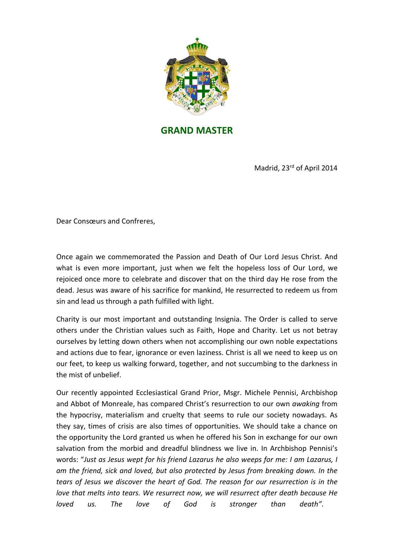

## **GRAND MASTER**

Madrid, 23rd of April 2014

Dear Consœurs and Confreres,

Once again we commemorated the Passion and Death of Our Lord Jesus Christ. And what is even more important, just when we felt the hopeless loss of Our Lord, we rejoiced once more to celebrate and discover that on the third day He rose from the dead. Jesus was aware of his sacrifice for mankind, He resurrected to redeem us from sin and lead us through a path fulfilled with light.

Charity is our most important and outstanding Insignia. The Order is called to serve others under the Christian values such as Faith, Hope and Charity. Let us not betray ourselves by letting down others when not accomplishing our own noble expectations and actions due to fear, ignorance or even laziness. Christ is all we need to keep us on our feet, to keep us walking forward, together, and not succumbing to the darkness in the mist of unbelief.

Our recently appointed Ecclesiastical Grand Prior, Msgr. Michele Pennisi, Archbishop and Abbot of Monreale, has compared Christ's resurrection to our own *awaking* from the hypocrisy, materialism and cruelty that seems to rule our society nowadays. As they say, times of crisis are also times of opportunities. We should take a chance on the opportunity the Lord granted us when he offered his Son in exchange for our own salvation from the morbid and dreadful blindness we live in. In Archbishop Pennisi's words: *Just as Jesus wept for his friend Lazarus he also weeps for me: I am Lazarus, I am the friend, sick and loved, but also protected by Jesus from breaking down. In the tears of Jesus we discover the heart of God. The reason for our resurrection is in the love that melts into tears. We resurrect now, we will resurrect after death because He loved us. The love of God is stronger than death*.